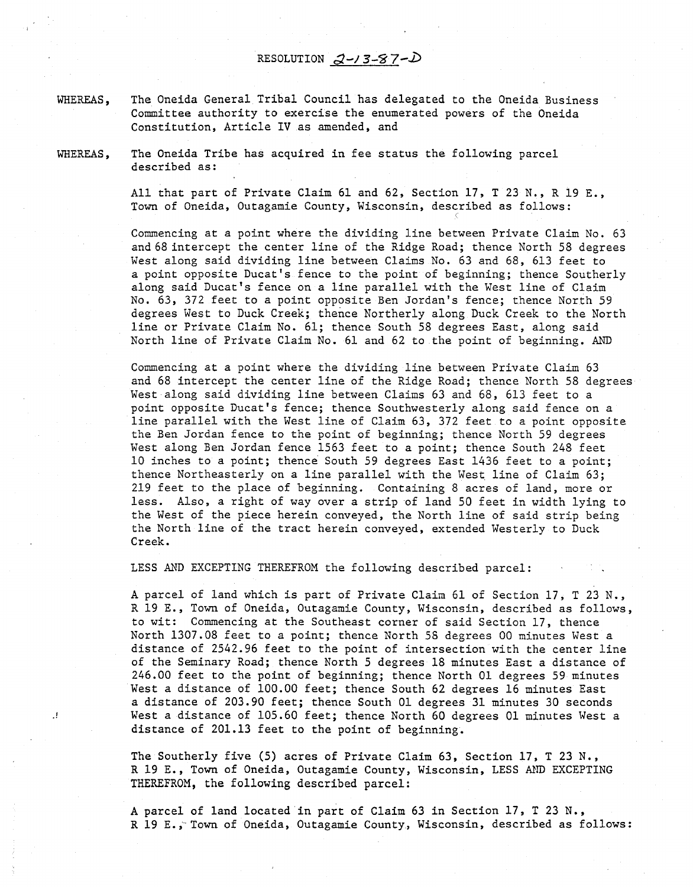RESOLUTION  $2 - 3 - 87 - D$ 

WHEREAS, The Oneida General Tribal Council has delegated to the Oneida Business Committee authority to exercise the enumerated powers of the Oneida Constitution, Article IV as amended, and

WHEREAS, The Oneida Tribe has acquired in fee status the following parcel described as:

> All that part of Private Claim 61 and 62, Section 17, T 23 N., R 19 E., Town of Oneida, Outagamie County, Wisconsin, described as follows: c

Commencing at a point where the dividing line between Private Claim No. 63 and 68 intercept the center line of the Ridge Road; thence North 58 degrees West along said dividing line between Claims No. 63 and 68, 613 feet to a point opposite Ducat's fence to the point of beginning; thence Southerly along said Ducat's fence on a line parallel with the West line of Claim No. 63, 372 feet to a point opposite Ben Jordan's fence; thence North 59 degrees West to Duck Creek; thence Northerly along Duck Creek to the North line or Private Claim No. 61; thence South 58 degrees East, along said North line of Private Claim No. 61 and 62 to the point of beginning. AND

Commencing at a point where the dividing line between Private Claim 63 and 68 intercept the center line of the Ridge Road; thence North 58 degrees West along said dividing line between Claims 63 and 68, 613 feet to a point opposite Ducat's fence; thence Southwesterly along said fence on a line parallel with the West line of Claim 63, 372 feet to a point opposite the Ben Jordan fence to the point of beginning; thence North 59 degrees West along Ben Jordan fence 1563 feet to a point; thence South 248 feet 10 inches to a point; thence South 59 degrees East 1436 feet to a point; thence Northeasterly on a line parallel with the West line of Claim 63; 219 feet to the place of beginning. Containing 8 acres of land, more or less. Also, a right of way over a strip of land 50 feet in width lying to the West of the piece herein conveyed, the North line of said strip being the North line of the tract herein conveyed, extended Westerly to Duck Creek.

LESS AND EXCEPTING THEREFROM the following described parcel:

A parcel of land which is part of Private Claim 61 of Section 17, T 23 N., R 19 E., Town of Oneida, Outagamie County, Wisconsin, described as follows, to wit: Commencing at the Southeast corner of said Section 17, thence North 1307.08 feet to a point; thence North 58 degrees 00 minutes West a distance of 2542.96 feet to the point of intersection with the center line of the Seminary Road; thence North 5 degrees 18 minutes East a distance of 246.00 feet to the point of beginning; thence North 01 degrees 59 minutes West a distance of 100.00 feet; thence South 62 degrees 16 minutes East a distance of 203.90 feet; thence South 01 degrees 31 minutes 30 seconds West a distance of 105.60 feet; thence North 60 degrees 01 minutes West a distance of 201.13 feet to the point of beginning.

The Southerly five (5) acres of Private Claim 63, Section 17, T 23 N., R 19 E., Town of Oneida, Outagamie County, Wisconsin, LESS AND EXCEPTING THEREFROM, the following described parcel:

A parcel of land located in part of Claim 63 in Section 17, T 23 N., R 19 E., Town of Oneida, Outagamie County, Wisconsin, described as follows: